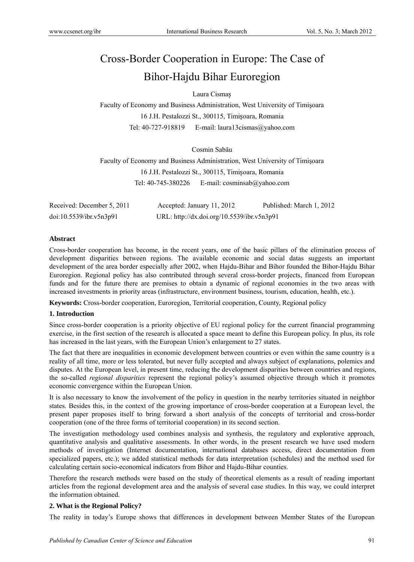# Cross-Border Cooperation in Europe: The Case of Bihor-Hajdu Bihar Euroregion

Laura Cismaș

Faculty of Economy and Business Administration, West University of Timişoara 16 J.H. Pestalozzi St., 300115, Timișoara, Romania Tel: 40-727-918819 E-mail: laura13cismas@yahoo.com

Cosmin Sabău

Faculty of Economy and Business Administration, West University of Timişoara 16 J.H. Pestalozzi St., 300115, Timișoara, Romania Tel: 40-745-380226 E-mail: cosminsab@yahoo.com

| Received: December 5, 2011 | Accepted: January 11, 2012                 | Published: March 1, 2012 |
|----------------------------|--------------------------------------------|--------------------------|
| doi:10.5539/ibr.v5n3p91    | URL: http://dx.doi.org/10.5539/ibr.v5n3p91 |                          |

### **Abstract**

Cross-border cooperation has become, in the recent years, one of the basic pillars of the elimination process of development disparities between regions. The available economic and social datas suggests an important development of the area border especially after 2002, when Hajdu-Bihar and Bihor founded the Bihor-Hajdu Bihar Euroregion. Regional policy has also contributed through several cross-border projects, financed from European funds and for the future there are premises to obtain a dynamic of regional economies in the two areas with increased investments in priority areas (infrastructure, environment business, tourism, education, health, etc.).

**Keywords:** Cross-border cooperation, Euroregion, Territorial cooperation, County, Regional policy

### **1. Introduction**

Since cross-border cooperation is a priority objective of EU regional policy for the current financial programming exercise, in the first section of the research is allocated a space meant to define this European policy. In plus, its role has increased in the last years, with the European Union's enlargement to 27 states.

The fact that there are inequalities in economic development between countries or even within the same country is a reality of all time, more or less tolerated, but never fully accepted and always subject of explanations, polemics and disputes. At the European level, in present time, reducing the development disparities between countries and regions, the so-called *regional disparities* represent the regional policy's assumed objective through which it promotes economic convergence within the European Union.

It is also necessary to know the involvement of the policy in question in the nearby territories situated in neighbor states. Besides this, in the context of the growing importance of cross-border cooperation at a European level, the present paper proposes itself to bring forward a short analysis of the concepts of territorial and cross-border cooperation (one of the three forms of territorial cooperation) in its second section.

The investigation methodology used combines analysis and synthesis, the regulatory and explorative approach, quantitative analysis and qualitative assessments. In other words, in the present research we have used modern methods of investigation (Internet documentation, international databases access, direct documentation from specialized papers, etc.); we added statistical methods for data interpretation (schedules) and the method used for calculating certain socio-economical indicators from Bihor and Hajdu-Bihar counties.

Therefore the research methods were based on the study of theoretical elements as a result of reading important articles from the regional development area and the analysis of several case studies. In this way, we could interpret the information obtained.

### **2. What is the Regional Policy?**

The reality in today's Europe shows that differences in development between Member States of the European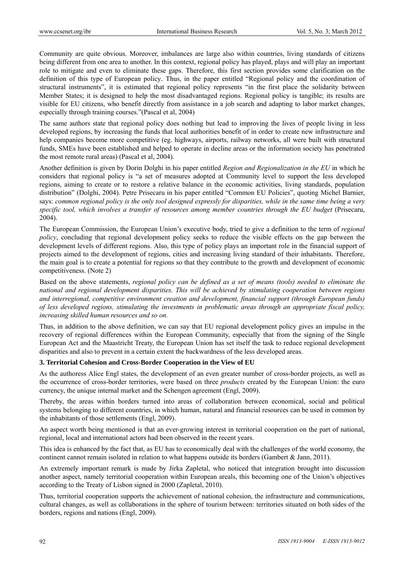Community are quite obvious. Moreover, imbalances are large also within countries, living standards of citizens being different from one area to another. In this context, regional policy has played, plays and will play an important role to mitigate and even to eliminate these gaps. Therefore, this first section provides some clarification on the definition of this type of European policy. Thus, in the paper entitled "Regional policy and the coordination of structural instruments", it is estimated that regional policy represents "in the first place the solidarity between Member States; it is designed to help the most disadvantaged regions. Regional policy is tangible; its results are visible for EU citizens, who benefit directly from assistance in a job search and adapting to labor market changes, especially through training courses."(Pascal et al, 2004)

The same authors state that regional policy does nothing but lead to improving the lives of people living in less developed regions, by increasing the funds that local authorities benefit of in order to create new infrastructure and help companies become more competitive (eg. highways, airports, railway networks, all were built with structural funds, SMEs have been established and helped to operate in decline areas or the information society has penetrated the most remote rural areas) (Pascal et al, 2004).

Another definition is given by Dorin Dolghi in his paper entitled *Region and Regionalization in the EU* in which he considers that regional policy is "a set of measures adopted at Community level to support the less developed regions, aiming to create or to restore a relative balance in the economic activities, living standards, population distribution" (Dolghi, 2004). Petre Prisecaru in his paper entitled "Common EU Policies", quoting Michel Barnier, says: *common regional policy is the only tool designed expressly for disparities, while in the same time being a very specific tool, which involves a transfer of resources among member countries through the EU budget* (Prisecaru, 2004).

The European Commission, the European Union's executive body, tried to give a definition to the term of *regional policy*, concluding that regional development policy seeks to reduce the visible effects on the gap between the development levels of different regions. Also, this type of policy plays an important role in the financial support of projects aimed to the development of regions, cities and increasing living standard of their inhabitants. Therefore, the main goal is to create a potential for regions so that they contribute to the growth and development of economic competitiveness. (Note 2)

Based on the above statements, *regional policy can be defined as a set of means (tools) needed to eliminate the national and regional development disparities. This will be achieved by stimulating cooperation between regions and interregional, competitive environment creation and development, financial support (through European funds) of less developed regions, stimulating the investments in problematic areas through an appropriate fiscal policy, increasing skilled human resources and so on.* 

Thus, in addition to the above definition, we can say that EU regional development policy gives an impulse in the recovery of regional differences within the European Community, especially that from the signing of the Single European Act and the Maastricht Treaty, the European Union has set itself the task to reduce regional development disparities and also to prevent in a certain extent the backwardness of the less developed areas.

### **3. Territorial Cohesion and Cross-Border Cooperation in the View of EU**

As the authoress Alice Engl states, the development of an even greater number of cross-border projects, as well as the occurrence of cross-border territories, were based on three *products* created by the European Union: the euro currency, the unique internal market and the Schengen agreement (Engl, 2009).

Thereby, the areas within borders turned into areas of collaboration between economical, social and political systems belonging to different countries, in which human, natural and financial resources can be used in common by the inhabitants of those settlements (Engl, 2009).

An aspect worth being mentioned is that an ever-growing interest in territorial cooperation on the part of national, regional, local and international actors had been observed in the recent years.

This idea is enhanced by the fact that, as EU has to economically deal with the challenges of the world economy, the continent cannot remain isolated in relation to what happens outside its borders (Gambert & Jann, 2011).

An extremely important remark is made by Jirka Zapletal, who noticed that integration brought into discussion another aspect, namely territorial cooperation within European areals, this becoming one of the Union's objectives according to the Treaty of Lisbon signed in 2000 (Zapletal, 2010).

Thus, territorial cooperation supports the achievement of national cohesion, the infrastructure and communications, cultural changes, as well as collaborations in the sphere of tourism between: territories situated on both sides of the borders, regions and nations (Engl, 2009).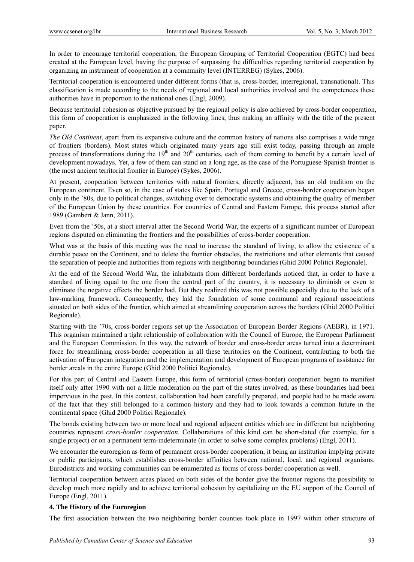In order to encourage territorial cooperation, the European Grouping of Territorial Cooperation (EGTC) had been created at the European level, having the purpose of surpassing the difficulties regarding territorial cooperation by organizing an instrument of cooperation at a community level (INTERREG) (Sykes, 2006).

Territorial cooperation is encountered under different forms (that is, cross-border, interregional, transnational). This classification is made according to the needs of regional and local authorities involved and the competences these authorities have in proportion to the national ones (Engl, 2009).

Because territorial cohesion as objective pursued by the regional policy is also achieved by cross-border cooperation, this form of cooperation is emphasized in the following lines, thus making an affinity with the title of the present paper.

*The Old Continent*, apart from its expansive culture and the common history of nations also comprises a wide range of frontiers (borders). Most states which originated many years ago still exist today, passing through an ample process of transformations during the  $19<sup>th</sup>$  and  $20<sup>th</sup>$  centuries, each of them coming to benefit by a certain level of development nowadays. Yet, a few of them can stand on a long age, as the case of the Portuguese-Spanish frontier is (the most ancient territorial frontier in Europe) (Sykes, 2006).

At present, cooperation between territories with natural frontiers, directly adjacent, has an old tradition on the European continent. Even so, in the case of states like Spain, Portugal and Greece, cross-border cooperation began only in the '80s, due to political changes, switching over to democratic systems and obtaining the quality of member of the European Union by these countries. For countries of Central and Eastern Europe, this process started after 1989 (Gambert & Jann, 2011).

Even from the '50s, at a short interval after the Second World War, the experts of a significant number of European regions disputed on eliminating the frontiers and the possibilities of cross-border cooperation.

What was at the basis of this meeting was the need to increase the standard of living, to allow the existence of a durable peace on the Continent, and to delete the frontier obstacles, the restrictions and other elements that caused the separation of people and authorities from regions with neighboring boundaries (Ghid 2000 Politici Regionale).

At the end of the Second World War, the inhabitants from different borderlands noticed that, in order to have a standard of living equal to the one from the central part of the country, it is necessary to diminish or even to eliminate the negative effects the border had. But they realized this was not possible especially due to the lack of a law-marking framework. Consequently, they laid the foundation of some communal and regional associations situated on both sides of the frontier, which aimed at streamlining cooperation across the borders (Ghid 2000 Politici Regionale).

Starting with the '70s, cross-border regions set up the Association of European Border Regions (AEBR), in 1971. This organism maintained a tight relationship of collaboration with the Council of Europe, the European Parliament and the European Commission. In this way, the network of border and cross-border areas turned into a determinant force for streamlining cross-border cooperation in all these territories on the Continent, contributing to both the activation of European integration and the implementation and development of European programs of assistance for border areals in the entire Europe (Ghid 2000 Politici Regionale).

For this part of Central and Eastern Europe, this form of territorial (cross-border) cooperation began to manifest itself only after 1990 with not a little moderation on the part of the states involved, as these boundaries had been impervious in the past. In this context, collaboration had been carefully prepared, and people had to be made aware of the fact that they still belonged to a common history and they had to look towards a common future in the continental space (Ghid 2000 Politici Regionale).

The bonds existing between two or more local and regional adjacent entities which are in different but neighboring countries represent *cross-border cooperation*. Collaborations of this kind can be short-dated (for example, for a single project) or on a permanent term-indeterminate (in order to solve some complex problems) (Engl, 2011).

We encounter the euroregion as form of permanent cross-border cooperation, it being an institution implying private or public participants, which establishes cross-border affinities between national, local, and regional organisms. Eurodistricts and working communities can be enumerated as forms of cross-border cooperation as well.

Territorial cooperation between areas placed on both sides of the border give the frontier regions the possibility to develop much more rapidly and to achieve territorial cohesion by capitalizing on the EU support of the Council of Europe (Engl, 2011).

### **4. The History of the Euroregion**

The first association between the two neighboring border counties took place in 1997 within other structure of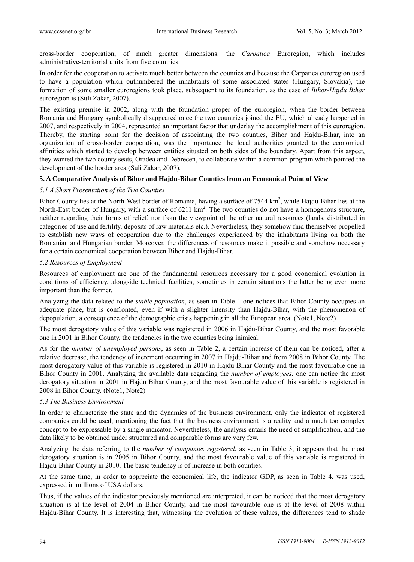cross-border cooperation, of much greater dimensions: the *Carpatica* Euroregion, which includes administrative-territorial units from five countries.

In order for the cooperation to activate much better between the counties and because the Carpatica euroregion used to have a population which outnumbered the inhabitants of some associated states (Hungary, Slovakia), the formation of some smaller euroregions took place, subsequent to its foundation, as the case of *Bihor-Hajdu Bihar* euroregion is (Suli Zakar, 2007).

The existing premise in 2002, along with the foundation proper of the euroregion, when the border between Romania and Hungary symbolically disappeared once the two countries joined the EU, which already happened in 2007, and respectively in 2004, represented an important factor that underlay the accomplishment of this euroregion. Thereby, the starting point for the decision of associating the two counties, Bihor and Hajdu-Bihar, into an organization of cross-border cooperation, was the importance the local authorities granted to the economical affinities which started to develop between entities situated on both sides of the boundary. Apart from this aspect, they wanted the two county seats, Oradea and Debrecen, to collaborate within a common program which pointed the development of the border area (Suli Zakar, 2007).

### **5. A Comparative Analysis of Bihor and Hajdu-Bihar Counties from an Economical Point of View**

### *5.1 A Short Presentation of the Two Counties*

Bihor County lies at the North-West border of Romania, having a surface of 7544 km<sup>2</sup>, while Hajdu-Bihar lies at the North-East border of Hungary, with a surface of  $6211 \text{ km}^2$ . The two counties do not have a homogenous structure, neither regarding their forms of relief, nor from the viewpoint of the other natural resources (lands, distributed in categories of use and fertility, deposits of raw materials etc.). Nevertheless, they somehow find themselves propelled to establish new ways of cooperation due to the challenges experienced by the inhabitants living on both the Romanian and Hungarian border. Moreover, the differences of resources make it possible and somehow necessary for a certain economical cooperation between Bihor and Hajdu-Bihar.

## *5.2 Resources of Employment*

Resources of employment are one of the fundamental resources necessary for a good economical evolution in conditions of efficiency, alongside technical facilities, sometimes in certain situations the latter being even more important than the former.

Analyzing the data related to the *stable population*, as seen in Table 1 one notices that Bihor County occupies an adequate place, but is confronted, even if with a slighter intensity than Hajdu-Bihar, with the phenomenon of depopulation, a consequence of the demographic crisis happening in all the European area. (Note1, Note2)

The most derogatory value of this variable was registered in 2006 in Hajdu-Bihar County, and the most favorable one in 2001 in Bihor County, the tendencies in the two counties being inimical.

As for the *number of unemployed persons*, as seen in Table 2, a certain increase of them can be noticed, after a relative decrease, the tendency of increment occurring in 2007 in Hajdu-Bihar and from 2008 in Bihor County. The most derogatory value of this variable is registered in 2010 in Hajdu-Bihar County and the most favourable one in Bihor County in 2001. Analyzing the available data regarding the *number of employees*, one can notice the most derogatory situation in 2001 in Hajdu Bihar County, and the most favourable value of this variable is registered in 2008 in Bihor County. (Note1, Note2)

### *5.3 The Business Environment*

In order to characterize the state and the dynamics of the business environment, only the indicator of registered companies could be used, mentioning the fact that the business environment is a reality and a much too complex concept to be expressable by a single indicator. Nevertheless, the analysis entails the need of simplification, and the data likely to be obtained under structured and comparable forms are very few.

Analyzing the data referring to the *number of companies registered*, as seen in Table 3, it appears that the most derogatory situation is in 2005 in Bihor County, and the most favourable value of this variable is registered in Hajdu-Bihar County in 2010. The basic tendency is of increase in both counties.

At the same time, in order to appreciate the economical life, the indicator GDP, as seen in Table 4, was used, expressed in millions of USA dollars.

Thus, if the values of the indicator previously mentioned are interpreted, it can be noticed that the most derogatory situation is at the level of 2004 in Bihor County, and the most favourable one is at the level of 2008 within Hajdu-Bihar County. It is interesting that, witnessing the evolution of these values, the differences tend to shade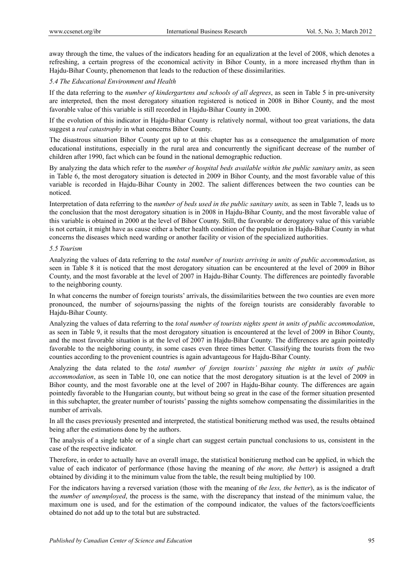away through the time, the values of the indicators heading for an equalization at the level of 2008, which denotes a refreshing, a certain progress of the economical activity in Bihor County, in a more increased rhythm than in Hajdu-Bihar County, phenomenon that leads to the reduction of these dissimilarities.

# *5.4 The Educational Environment and Health*

If the data referring to the *number of kindergartens and schools of all degrees*, as seen in Table 5 in pre-university are interpreted, then the most derogatory situation registered is noticed in 2008 in Bihor County, and the most favorable value of this variable is still recorded in Hajdu-Bihar County in 2000.

If the evolution of this indicator in Hajdu-Bihar County is relatively normal, without too great variations, the data suggest a *real catastrophy* in what concerns Bihor County.

The disastrous situation Bihor County got up to at this chapter has as a consequence the amalgamation of more educational institutions, especially in the rural area and concurrently the significant decrease of the number of children after 1990, fact which can be found in the national demographic reduction.

By analyzing the data which refer to the *number of hospital beds available within the public sanitary units*, as seen in Table 6, the most derogatory situation is detected in 2009 in Bihor County, and the most favorable value of this variable is recorded in Hajdu-Bihar County in 2002. The salient differences between the two counties can be noticed.

Interpretation of data referring to the *number of beds used in the public sanitary units,* as seen in Table 7, leads us to the conclusion that the most derogatory situation is in 2008 in Hajdu-Bihar County, and the most favorable value of this variable is obtained in 2000 at the level of Bihor County. Still, the favorable or derogatory value of this variable is not certain, it might have as cause either a better health condition of the population in Hajdu-Bihar County in what concerns the diseases which need warding or another facility or vision of the specialized authorities.

## *5.5 Tourism*

Analyzing the values of data referring to the *total number of tourists arriving in units of public accommodation*, as seen in Table 8 it is noticed that the most derogatory situation can be encountered at the level of 2009 in Bihor County, and the most favorable at the level of 2007 in Hajdu-Bihar County. The differences are pointedly favorable to the neighboring county.

In what concerns the number of foreign tourists' arrivals, the dissimilarities between the two counties are even more pronounced, the number of sojourns/passing the nights of the foreign tourists are considerably favorable to Hajdu-Bihar County.

Analyzing the values of data referring to the *total number of tourists nights spent in units of public accommodation*, as seen in Table 9, it results that the most derogatory situation is encountered at the level of 2009 in Bihor County, and the most favorable situation is at the level of 2007 in Hajdu-Bihar County. The differences are again pointedly favorable to the neighboring county, in some cases even three times better. Classifying the tourists from the two counties according to the provenient countries is again advantageous for Hajdu-Bihar County.

Analyzing the data related to the *total number of foreign tourists' passing the nights in units of public accommodation*, as seen in Table 10, one can notice that the most derogatory situation is at the level of 2009 in Bihor county, and the most favorable one at the level of 2007 in Hajdu-Bihar county. The differences are again pointedly favorable to the Hungarian county, but without being so great in the case of the former situation presented in this subchapter, the greater number of tourists' passing the nights somehow compensating the dissimilarities in the number of arrivals.

In all the cases previously presented and interpreted, the statistical bonitierung method was used, the results obtained being after the estimations done by the authors.

The analysis of a single table or of a single chart can suggest certain punctual conclusions to us, consistent in the case of the respective indicator.

Therefore, in order to actually have an overall image, the statistical bonitierung method can be applied, in which the value of each indicator of performance (those having the meaning of *the more, the better*) is assigned a draft obtained by dividing it to the minimum value from the table, the result being multiplied by 100.

For the indicators having a reversed variation (those with the meaning of *the less, the better*), as is the indicator of the *number of unemployed*, the process is the same, with the discrepancy that instead of the minimum value, the maximum one is used, and for the estimation of the compound indicator, the values of the factors/coefficients obtained do not add up to the total but are substracted.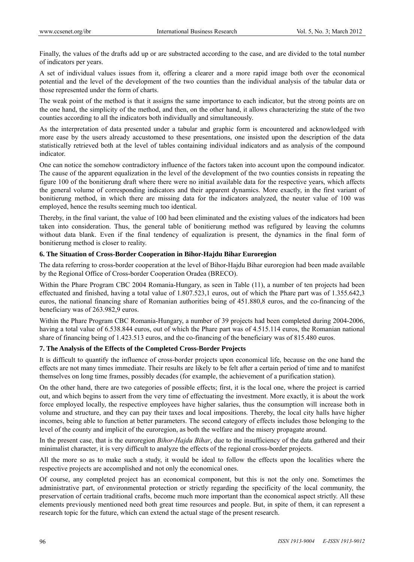Finally, the values of the drafts add up or are substracted according to the case, and are divided to the total number of indicators per years.

A set of individual values issues from it, offering a clearer and a more rapid image both over the economical potential and the level of the development of the two counties than the individual analysis of the tabular data or those represented under the form of charts.

The weak point of the method is that it assigns the same importance to each indicator, but the strong points are on the one hand, the simplicity of the method, and then, on the other hand, it allows characterizing the state of the two counties according to all the indicators both individually and simultaneously.

As the interpretation of data presented under a tabular and graphic form is encountered and acknowledged with more ease by the users already accustomed to these presentations, one insisted upon the description of the data statistically retrieved both at the level of tables containing individual indicators and as analysis of the compound indicator.

One can notice the somehow contradictory influence of the factors taken into account upon the compound indicator. The cause of the apparent equalization in the level of the development of the two counties consists in repeating the figure 100 of the bonitierung draft where there were no initial available data for the respective years, which affects the general volume of corresponding indicators and their apparent dynamics. More exactly, in the first variant of bonitierung method, in which there are missing data for the indicators analyzed, the neuter value of 100 was employed, hence the results seeming much too identical.

Thereby, in the final variant, the value of 100 had been eliminated and the existing values of the indicators had been taken into consideration. Thus, the general table of bonitierung method was refigured by leaving the columns without data blank. Even if the final tendency of equalization is present, the dynamics in the final form of bonitierung method is closer to reality.

## **6. The Situation of Cross-Border Cooperation in Bihor-Hajdu Bihar Euroregion**

The data referring to cross-border cooperation at the level of Bihor-Hajdu Bihar euroregion had been made available by the Regional Office of Cross-border Cooperation Oradea (BRECO).

Within the Phare Program CBC 2004 Romania-Hungary, as seen in Table (11), a number of ten projects had been effectuated and finished, having a total value of 1.807.523,1 euros, out of which the Phare part was of 1.355.642,3 euros, the national financing share of Romanian authorities being of 451.880,8 euros, and the co-financing of the beneficiary was of 263.982,9 euros.

Within the Phare Program CBC Romania-Hungary, a number of 39 projects had been completed during 2004-2006, having a total value of 6.538.844 euros, out of which the Phare part was of 4.515.114 euros, the Romanian national share of financing being of 1.423.513 euros, and the co-financing of the beneficiary was of 815.480 euros.

# **7. The Analysis of the Effects of the Completed Cross-Border Projects**

It is difficult to quantify the influence of cross-border projects upon economical life, because on the one hand the effects are not many times immediate. Their results are likely to be felt after a certain period of time and to manifest themselves on long time frames, possibly decades (for example, the achievement of a purification station).

On the other hand, there are two categories of possible effects; first, it is the local one, where the project is carried out, and which begins to assert from the very time of effectuating the investment. More exactly, it is about the work force employed locally, the respective employees have higher salaries, thus the consumption will increase both in volume and structure, and they can pay their taxes and local impositions. Thereby, the local city halls have higher incomes, being able to function at better parameters. The second category of effects includes those belonging to the level of the county and implicit of the euroregion, as both the welfare and the misery propagate around.

In the present case, that is the euroregion *Bihor-Hajdu Bihar*, due to the insufficiency of the data gathered and their minimalist character, it is very difficult to analyze the effects of the regional cross-border projects.

All the more so as to make such a study, it would be ideal to follow the effects upon the localities where the respective projects are accomplished and not only the economical ones.

Of course, any completed project has an economical component, but this is not the only one. Sometimes the administrative part, of environmental protection or strictly regarding the specificity of the local community, the preservation of certain traditional crafts, become much more important than the economical aspect strictly. All these elements previously mentioned need both great time resources and people. But, in spite of them, it can represent a research topic for the future, which can extend the actual stage of the present research.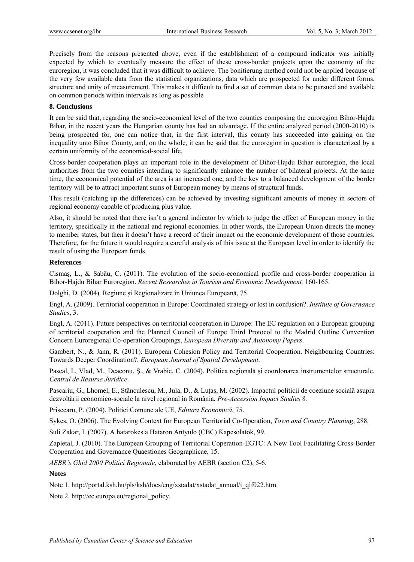Precisely from the reasons presented above, even if the establishment of a compound indicator was initially expected by which to eventually measure the effect of these cross-border projects upon the economy of the euroregion, it was concluded that it was difficult to achieve. The bonitierung method could not be applied because of the very few available data from the statistical organizations, data which are prospected for under different forms, structure and unity of measurement. This makes it difficult to find a set of common data to be pursued and available on common periods within intervals as long as possible

### **8. Conclusions**

It can be said that, regarding the socio-economical level of the two counties composing the euroregion Bihor-Hajdu Bihar, in the recent years the Hungarian county has had an advantage. If the entire analyzed period (2000-2010) is being prospected for, one can notice that, in the first interval, this county has succeeded into gaining on the inequality unto Bihor County, and, on the whole, it can be said that the euroregion in question is characterized by a certain uniformity of the economical-social life.

Cross-border cooperation plays an important role in the development of Bihor-Hajdu Bihar euroregion, the local authorities from the two counties intending to significantly enhance the number of bilateral projects. At the same time, the economical potential of the area is an increased one, and the key to a balanced development of the border territory will be to attract important sums of European money by means of structural funds.

This result (catching up the differences) can be achieved by investing significant amounts of money in sectors of regional economy capable of producing plus value.

Also, it should be noted that there isn't a general indicator by which to judge the effect of European money in the territory, specifically in the national and regional economies. In other words, the European Union directs the money to member states, but then it doesn't have a record of their impact on the economic development of those countries. Therefore, for the future it would require a careful analysis of this issue at the European level in order to identify the result of using the European funds.

## **References**

Cismaş, L., & Sabău, C. (2011). The evolution of the socio-economical profile and cross-border cooperation in Bihor-Hajdu Bihar Euroregion. *Recent Researches in Tourism and Economic Development,* 160-165.

Dolghi, D. (2004). Regiune şi Regionalizare în Uniunea Europeană, 75.

Engl, A. (2009). Territorial cooperation in Europe: Coordinated strategy or lost in confusion?. *Institute of Governance Studies*, 3.

Engl, A. (2011). Future perspectives on territorial cooperation in Europe: The EC regulation on a European grouping of territorial cooperation and the Planned Council of Europe Third Protocol to the Madrid Outline Convention Concern Euroregional Co-operation Groupings, *European Diversity and Autonomy Papers*.

Gambert, N., & Jann, R. (2011). European Cohesion Policy and Territorial Cooperation. Neighbouring Countries: Towards Deeper Coordination?. *European Journal of Spatial Development*.

Pascal, I., Vlad, M., Deaconu, Ş., & Vrabie, C. (2004). Politica regională şi coordonarea instrumentelor structurale, *Centrul de Resurse Juridice*.

Pascariu, G., Lhomel, E., Stănculescu, M., Jula, D., & Luţaş, M. (2002). Impactul politicii de coeziune socială asupra dezvoltării economico-sociale la nivel regional în România, *Pre-Accession Impact Studies* 8*.*

Prisecaru, P. (2004). Politici Comune ale UE, *Editura Economică*, 75.

Sykes, O. (2006). The Evolving Context for European Territorial Co-Operation, *Town and Country Planning*, 288.

Suli Zakar, I. (2007). A hatarokes a Hataron Antyulo (CBC) Kapesolatok, 99.

Zapletal, J. (2010). The European Grouping of Territorial Coperation-EGTC: A New Tool Facilitating Cross-Border Cooperation and Governance Quaestiones Geographicae, 15.

*AEBR's Ghid 2000 Politici Regionale*, elaborated by AEBR (section C2), 5-6.

### **Notes**

Note 1. http://portal.ksh.hu/pls/ksh/docs/eng/xstadat/xstadat\_annual/i\_qlf022.htm.

Note 2. http://ec.europa.eu/regional\_policy.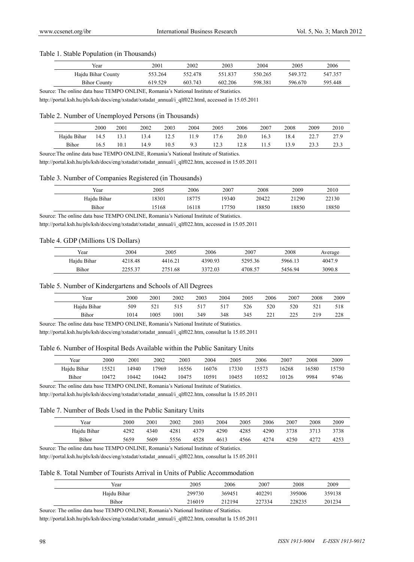#### Table 1. Stable Population (in Thousands)

| Year                | 2001    | 2002    | 2003    | 2004    | 2005    | 2006    |
|---------------------|---------|---------|---------|---------|---------|---------|
| Hajdu Bihar County  | 553.264 | 552.478 | 551.837 | 550.265 | 549.372 | 547.357 |
| <b>Bihor County</b> | 619.529 | 603.743 | 602.206 | 598.381 | 596.670 | 595.448 |

Source: The online data base TEMPO ONLINE, Romania's National Institute of Statistics.

http://portal.ksh.hu/pls/ksh/docs/eng/xstadat/xstadat\_annual/i\_qlf022.html, accessed in 15.05.2011

#### Table 2. Number of Unemployed Persons (in Thousands)

|             | 2000 | 2001 | 2002 | 2003 | 2004 | 2005  | 2006 | 2007 | 2008 | 2009 | 2010 |
|-------------|------|------|------|------|------|-------|------|------|------|------|------|
| Hajdu Bihar | 14.5 | 13.1 | 13.4 |      | 11.9 | l 7.6 | 20.0 | 16.3 | 18.4 |      | 27.9 |
| Bihor       | L6.5 | 10.1 | 14.9 | 10.5 | 9.3  | 12.3  | 12.8 | 11.5 | 13.9 | 23.3 | 23.3 |

Source:The online data base TEMPO ONLINE, Romania's National Institute of Statistics.

http://portal.ksh.hu/pls/ksh/docs/eng/xstadat/xstadat\_annual/i\_qlf022.htm, accessed in 15.05.2011

#### Table 3. Number of Companies Registered (in Thousands)

| Year        | 2005  | 2006  | 2007  | 2008  | 2009  | 2010  |
|-------------|-------|-------|-------|-------|-------|-------|
| Hajdu Bihar | 18301 | 8775  | 19340 | 20422 | 21290 | 22130 |
| Bihor       | 15168 | 16118 | 7750  | 18850 | 18850 | 18850 |

Source: The online data base TEMPO ONLINE, Romania's National Institute of Statistics.

http://portal.ksh.hu/pls/ksh/docs/eng/xstadat/xstadat\_annual/i\_qlf022.htm, accessed in 15.05.2011

#### Table 4. GDP (Millions US Dollars)

| Year        | 2004    | 2005    | 2006    | 2007    | 2008    | Average |
|-------------|---------|---------|---------|---------|---------|---------|
| Hajdu Bihar | 4218.48 | 4416.21 | 4390.93 | 5295.36 | 5966.13 | 4047.9  |
| Bihor       | 2255.37 | 2751.68 | 3372.03 | 4708.57 | 5456.94 | 3090.8  |

#### Table 5. Number of Kindergartens and Schools of All Degrees

| Year        | 2000 | 2001 | 2002 | 2003 | 2004 | 2005 | 2006        | 2007         | 2008 | 2009 |
|-------------|------|------|------|------|------|------|-------------|--------------|------|------|
| Hajdu Bihar | 509  | 521  | 515  |      |      | 526  | 520         | 520          | 521  | 518  |
| Bihor       | 1014 | 1005 | 1001 | 349  | 348  | 345  | 221<br>∠∠ 1 | つつく<br>ر ے ک | 219  | 228  |

Source: The online data base TEMPO ONLINE, Romania's National Institute of Statistics.

http://portal.ksh.hu/pls/ksh/docs/eng/xstadat/xstadat\_annual/i\_qlf022.htm, consultat la 15.05.2011

## Table 6. Number of Hospital Beds Available within the Public Sanitary Units

| Year        | 2000  | 2001  | 2002  | 2003  | 2004  | 2005  | 2006  | 2007  | 2008  | 2009  |
|-------------|-------|-------|-------|-------|-------|-------|-------|-------|-------|-------|
| Haidu Bihar | 5521  | 14940 | 7969  | 16556 | 16076 | 7330  | 5573  | 16268 | 16580 | 15750 |
| Bihor       | 10472 | 10442 | 10442 | 10475 | 10591 | 10455 | 10552 | 10126 | 9984  | 9746  |

Source: The online data base TEMPO ONLINE, Romania's National Institute of Statistics.

http://portal.ksh.hu/pls/ksh/docs/eng/xstadat/xstadat\_annual/i\_qlf022.htm, consultat la 15.05.2011

#### Table 7. Number of Beds Used in the Public Sanitary Units

| Year        | 2000 | 2001 | 2002 | 2003 | 2004 | 2005 | 2006 | 2007 | 2008 | 2009 |
|-------------|------|------|------|------|------|------|------|------|------|------|
| Hajdu Bihar | 4292 | 4340 | 4281 | 4379 | 4290 | 4285 | 4290 | 3738 | 3713 | 3738 |
| Bihor       | 5659 | 5609 | 5556 | 4528 | 4613 | 4566 | 4274 | 4250 | 4272 | 4253 |

Source: The online data base TEMPO ONLINE, Romania's National Institute of Statistics.

http://portal.ksh.hu/pls/ksh/docs/eng/xstadat/xstadat\_annual/i\_qlf022.htm, consultat la 15.05.2011

#### Table 8. Total Number of Tourists Arrival in Units of Public Accommodation

| Year        | 2005   | 2006   | 2007   | 2008   | 2009   |
|-------------|--------|--------|--------|--------|--------|
| Hajdu Bihar | 299730 | 369451 | 402291 | 395006 | 359138 |
| Bihor       | 216019 | 212194 | 227334 | 228235 | 201234 |

Source: The online data base TEMPO ONLINE, Romania's National Institute of Statistics.

http://portal.ksh.hu/pls/ksh/docs/eng/xstadat/xstadat\_annual/i\_qlf022.htm, consultat la 15.05.2011